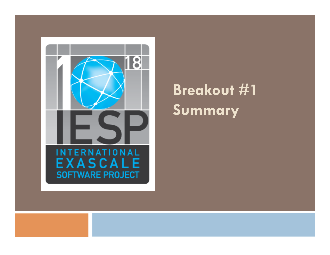

# **Breakout #1 Summary**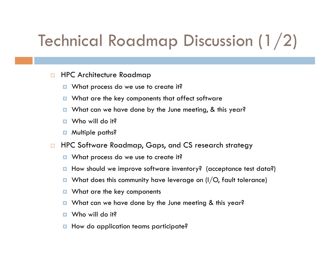# Technical Roadmap Discussion (1/2)

- □ HPC Architecture Roadmap
	- **u** What process do we use to create it?
	- What are the key components that affect software
	- **D** What can we have done by the June meeting, & this year?
	- Who will do it?
	- **D** Multiple paths?
- □ HPC Software Roadmap, Gaps, and CS research strategy
	- **u** What process do we use to create it?
	- **How should we improve software inventory?** (acceptance test data?)
	- $\blacksquare$  What does this community have leverage on (I/O, fault tolerance)
	- What are the key components
	- **D** What can we have done by the June meeting & this year?
	- $\blacksquare$  Who will do it?
	- **How do application teams participate?**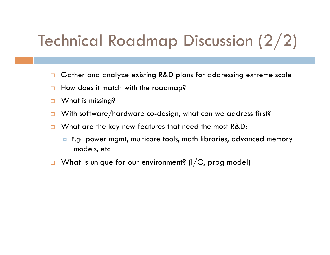# Technical Roadmap Discussion (2/2)

- □ Gather and analyze existing R&D plans for addressing extreme scale
- $\Box$  How does it match with the roadmap?
- □ What is missing?
- $\Box$  With software/hardware co-design, what can we address first?
- $\Box$  What are the key new features that need the most R&D:
	- E.g: power mgmt, multicore tools, math libraries, advanced memory models, etc
- $\Box$  What is unique for our environment? (I/O, prog model)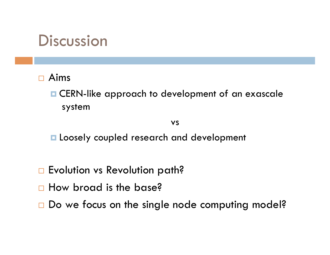### **Discussion**

#### Aims

**E CERN-like approach to development of an exascale** system

vs

**La Loosely coupled research and development** 

- □ Evolution vs Revolution path?
- How broad is the base?
- □ Do we focus on the single node computing model?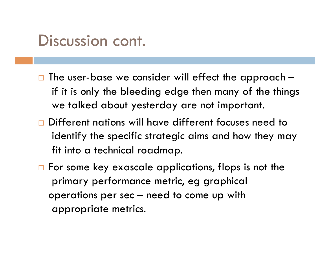#### Discussion cont.

- The user-base we consider will effect the approach if it is only the bleeding edge then many of the things we talked about yesterday are not important.
- Different nations will have different focuses need to identify the specific strategic aims and how they may fit into a technical roadmap.
- $\Box$  For some key exascale applications, flops is not the primary performance metric, eg graphical operations per sec – need to come up with appropriate metrics.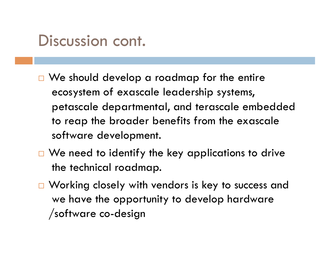#### Discussion cont.

- $\Box$  We should develop a roadmap for the entire ecosystem of exascale leadership systems, petascale departmental, and terascale embedded to reap the broader benefits from the exascale software development.
- $\Box$  We need to identify the key applications to drive the technical roadmap.
- □ Working closely with vendors is key to success and we have the opportunity to develop hardware /software co-design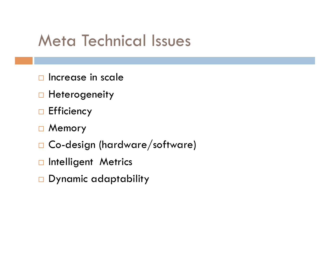## Meta Technical Issues

- $\Box$  Increase in scale
- **Heterogeneity**
- $\Box$  Efficiency
- □ Memory
- □ Co-design (hardware/software)
- ntelligent Metrics
- Dynamic adaptability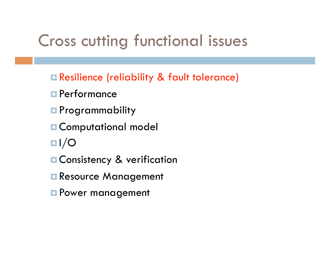## Cross cutting functional issues

- Resilience (reliability & fault tolerance)
- **Performance**
- **Programmability**
- **E** Computational model
- $\blacksquare$
- **E** Consistency & verification
- Resource Management
- **Power management**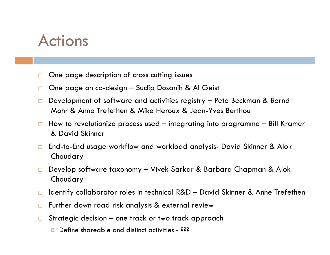### Actions

- One page description of cross cutting issues
- □ One page on co-design Sudip Dosanjh & Al Geist
- $\Box$  Development of software and activities registry Pete Beckman & Bernd Mohr & Anne Trefethen & Mike Heroux & Jean-Yves Berthou
- $\Box$  How to revolutionize process used integrating into programme Bill Kramer & David Skinner
- □ End-to-End usage workflow and workload analysis- David Skinner & Alok Choudary
- Develop software taxonomy Vivek Sarkar & Barbara Chapman & Alok Choudary
- □ Identify collaborator roles in technical R&D David Skinner & Anne Trefethen
- □ Further down road risk analysis & external review
- $\Box$  Strategic decision one track or two track approach
	- Define shareable and distinct activities 222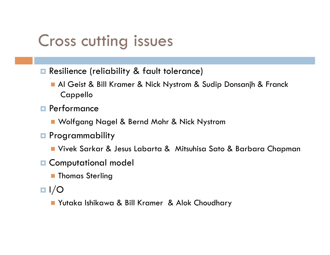## Cross cutting issues

- **Resilience (reliability & fault tolerance)** 
	- Al Geist & Bill Kramer & Nick Nystrom & Sudip Donsanjh & Franck Cappello
- **Performance** 
	- Wolfgang Nagel & Bernd Mohr & Nick Nystrom
- **Programmability** 
	- Vivek Sarkar & Jesus Labarta & Mitsuhisa Sato & Barbara Chapman
- **E** Computational model
	- **Thomas Sterling**
- $\blacksquare$   $\blacksquare$ 
	- Yutaka Ishikawa & Bill Kramer & Alok Choudhary